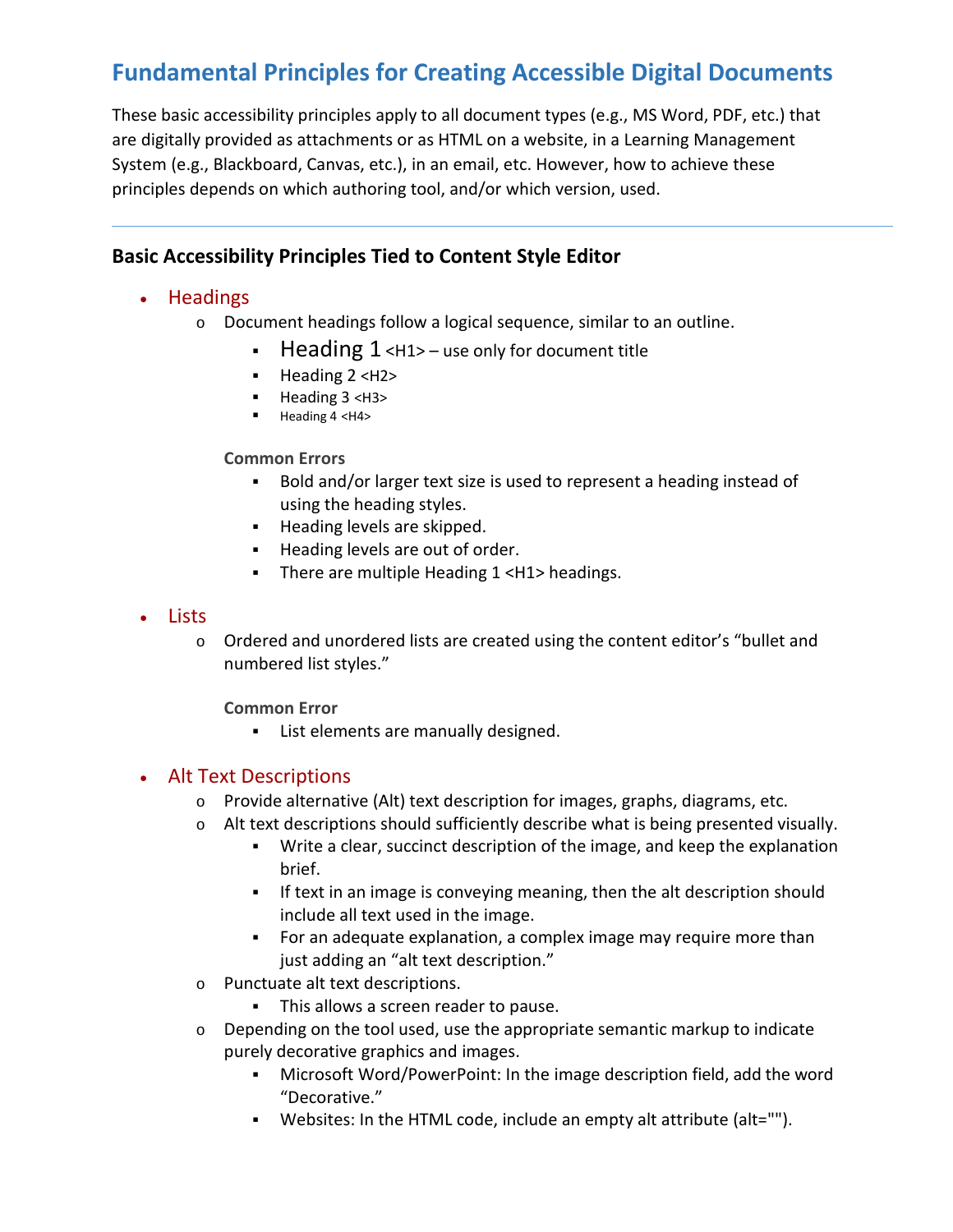# **Fundamental Principles for Creating Accessible Digital Documents**

These basic accessibility principles apply to all document types (e.g., MS Word, PDF, etc.) that are digitally provided as attachments or as HTML on a website, in a Learning Management System (e.g., Blackboard, Canvas, etc.), in an email, etc. However, how to achieve these principles depends on which authoring tool, and/or which version, used.

## **Basic Accessibility Principles Tied to Content Style Editor**

## • Headings

- o Document headings follow a logical sequence, similar to an outline.
	- Heading  $1$  <H1> use only for document title
	- Heading 2 <H2>
	- Heading 3 <H3>
	- Heading 4 <H4>

## **Common Errors**

- Bold and/or larger text size is used to represent a heading instead of using the heading styles.
- **Heading levels are skipped.**
- Heading levels are out of order.
- There are multiple Heading 1 <H1> headings.

## • Lists

o Ordered and unordered lists are created using the content editor's "bullet and numbered list styles."

**Common Error**

**EXEC** List elements are manually designed.

## • Alt Text Descriptions

- o Provide alternative (Alt) text description for images, graphs, diagrams, etc.
- $\circ$  Alt text descriptions should sufficiently describe what is being presented visually.
	- Write a clear, succinct description of the image, and keep the explanation brief.
	- If text in an image is conveying meaning, then the alt description should include all text used in the image.
	- For an adequate explanation, a complex image may require more than just adding an "alt text description."
- o Punctuate alt text descriptions.
	- This allows a screen reader to pause.
- $\circ$  Depending on the tool used, use the appropriate semantic markup to indicate purely decorative graphics and images.
	- Microsoft Word/PowerPoint: In the image description field, add the word "Decorative."
	- Websites: In the HTML code, include an empty alt attribute (alt="").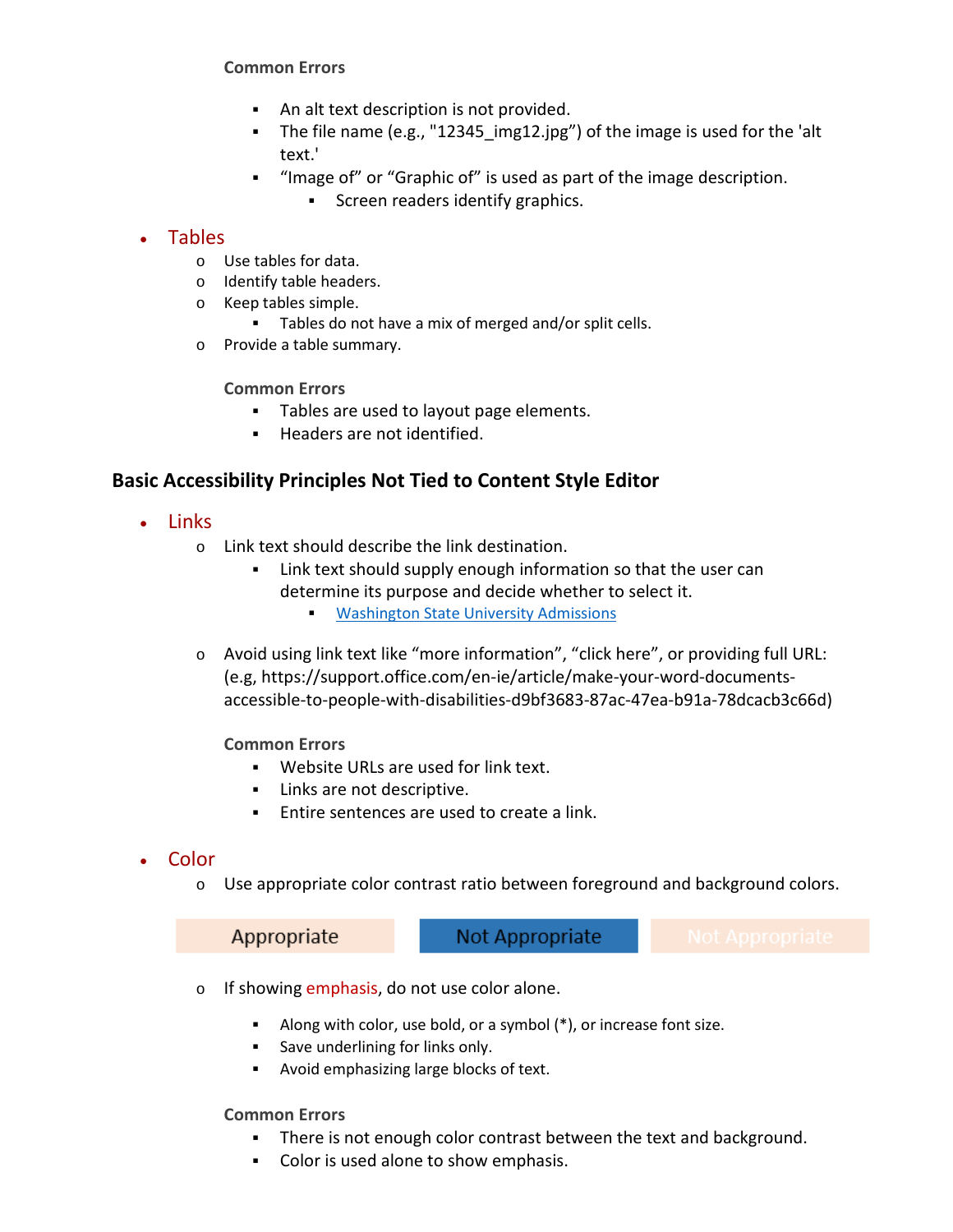#### **Common Errors**

- An alt text description is not provided.
- The file name (e.g., "12345 img12.jpg") of the image is used for the 'alt text.'
- "Image of" or "Graphic of" is used as part of the image description.
	- **Screen readers identify graphics.**

#### • Tables

- o Use tables for data.
- o Identify table headers.
- o Keep tables simple.
	- Tables do not have a mix of merged and/or split cells.
- o Provide a table summary.
	- **Common Errors**
		- **Tables are used to layout page elements.**
		- **Headers are not identified.**

## **Basic Accessibility Principles Not Tied to Content Style Editor**

- Links
	- o Link text should describe the link destination.
		- Link text should supply enough information so that the user can determine its purpose and decide whether to select it.
			- **[Washington State University Admissions](https://wsu.edu/admission/)**
	- o Avoid using link text like "more information", "click here", or providing full URL: (e.g, https://support.office.com/en-ie/article/make-your-word-documentsaccessible-to-people-with-disabilities-d9bf3683-87ac-47ea-b91a-78dcacb3c66d)
		- **Common Errors**
			- Website URLs are used for link text.
			- **Links are not descriptive.**
			- Entire sentences are used to create a link.
- Color
	- o Use appropriate color contrast ratio between foreground and background colors.

Appropriate

Not Appropriate

- $\circ$  If showing emphasis, do not use color alone.
	- Along with color, use bold, or a symbol  $(*)$ , or increase font size.
	- **Save underlining for links only.**
	- Avoid emphasizing large blocks of text.

**Common Errors**

- There is not enough color contrast between the text and background.
- Color is used alone to show emphasis.